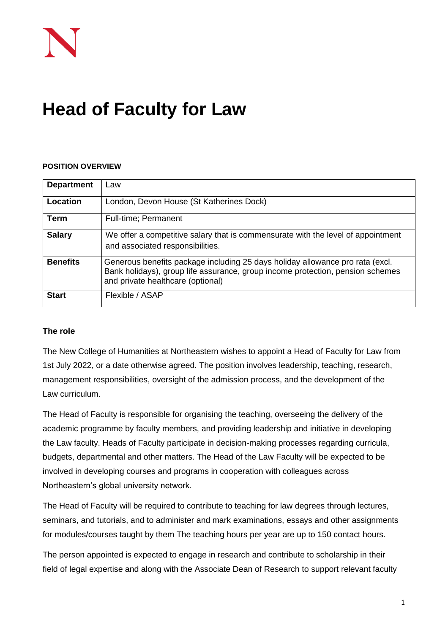# **Head of Faculty for Law**

#### **POSITION OVERVIEW**

| <b>Department</b> | Law                                                                                                                                                                                                  |
|-------------------|------------------------------------------------------------------------------------------------------------------------------------------------------------------------------------------------------|
| Location          | London, Devon House (St Katherines Dock)                                                                                                                                                             |
| Term              | <b>Full-time</b> ; Permanent                                                                                                                                                                         |
| <b>Salary</b>     | We offer a competitive salary that is commensurate with the level of appointment<br>and associated responsibilities.                                                                                 |
| <b>Benefits</b>   | Generous benefits package including 25 days holiday allowance pro rata (excl.<br>Bank holidays), group life assurance, group income protection, pension schemes<br>and private healthcare (optional) |
| <b>Start</b>      | Flexible / ASAP                                                                                                                                                                                      |

#### **The role**

The New College of Humanities at Northeastern wishes to appoint a Head of Faculty for Law from 1st July 2022, or a date otherwise agreed. The position involves leadership, teaching, research, management responsibilities, oversight of the admission process, and the development of the Law curriculum.

The Head of Faculty is responsible for organising the teaching, overseeing the delivery of the academic programme by faculty members, and providing leadership and initiative in developing the Law faculty. Heads of Faculty participate in decision-making processes regarding curricula, budgets, departmental and other matters. The Head of the Law Faculty will be expected to be involved in developing courses and programs in cooperation with colleagues across Northeastern's global university network.

The Head of Faculty will be required to contribute to teaching for law degrees through lectures, seminars, and tutorials, and to administer and mark examinations, essays and other assignments for modules/courses taught by them The teaching hours per year are up to 150 contact hours.

The person appointed is expected to engage in research and contribute to scholarship in their field of legal expertise and along with the Associate Dean of Research to support relevant faculty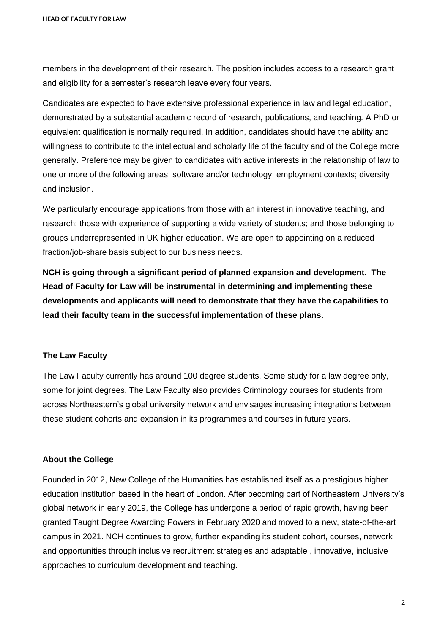members in the development of their research. The position includes access to a research grant and eligibility for a semester's research leave every four years.

Candidates are expected to have extensive professional experience in law and legal education, demonstrated by a substantial academic record of research, publications, and teaching. A PhD or equivalent qualification is normally required. In addition, candidates should have the ability and willingness to contribute to the intellectual and scholarly life of the faculty and of the College more generally. Preference may be given to candidates with active interests in the relationship of law to one or more of the following areas: software and/or technology; employment contexts; diversity and inclusion.

We particularly encourage applications from those with an interest in innovative teaching, and research; those with experience of supporting a wide variety of students; and those belonging to groups underrepresented in UK higher education. We are open to appointing on a reduced fraction/job-share basis subject to our business needs.

**NCH is going through a significant period of planned expansion and development. The Head of Faculty for Law will be instrumental in determining and implementing these developments and applicants will need to demonstrate that they have the capabilities to lead their faculty team in the successful implementation of these plans.** 

#### **The Law Faculty**

The Law Faculty currently has around 100 degree students. Some study for a law degree only, some for joint degrees. The Law Faculty also provides Criminology courses for students from across Northeastern's global university network and envisages increasing integrations between these student cohorts and expansion in its programmes and courses in future years.

## **About the College**

Founded in 2012, New College of the Humanities has established itself as a prestigious higher education institution based in the heart of London. After becoming part of Northeastern University's global network in early 2019, the College has undergone a period of rapid growth, having been granted Taught Degree Awarding Powers in February 2020 and moved to a new, state-of-the-art campus in 2021. NCH continues to grow, further expanding its student cohort, courses, network and opportunities through inclusive recruitment strategies and adaptable , innovative, inclusive approaches to curriculum development and teaching.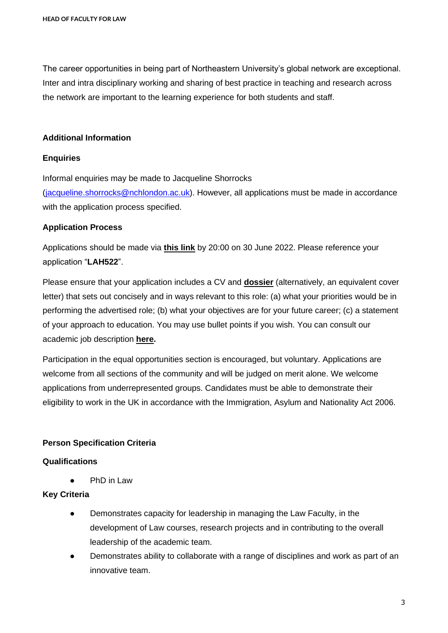The career opportunities in being part of Northeastern University's global network are exceptional. Inter and intra disciplinary working and sharing of best practice in teaching and research across the network are important to the learning experience for both students and staff.

### **Additional Information**

#### **Enquiries**

Informal enquiries may be made to Jacqueline Shorrocks [\(jacqueline.shorrocks@nchlondon.ac.uk\)](mailto:jacqueline.shorrocks@nchlondon.ac.uk). However, all applications must be made in accordance with the application process specified.

## **Application Process**

Applications should be made via **[this link](https://share.hsforms.com/1p3G6XPo_QD-X7V9aRnSTYQ2peji)** by 20:00 on 30 June 2022. Please reference your application "**LAH522**".

Please ensure that your application includes a CV and **[dossier](https://www.nchlondon.ac.uk/wp-content/uploads/2021/11/Academic-Dossier-TR-FINAL-1.docx)** (alternatively, an equivalent cover letter) that sets out concisely and in ways relevant to this role: (a) what your priorities would be in performing the advertised role; (b) what your objectives are for your future career; (c) a statement of your approach to education. You may use bullet points if you wish. You can consult our academic job description **[here.](https://drive.google.com/file/d/1eqibz3P4Qqna6NoB46w-GOaCNKUDzxow/view?usp=sharing)**

Participation in the equal opportunities section is encouraged, but voluntary. Applications are welcome from all sections of the community and will be judged on merit alone. We welcome applications from underrepresented groups. Candidates must be able to demonstrate their eligibility to work in the UK in accordance with the Immigration, Asylum and Nationality Act 2006.

## **Person Specification Criteria**

## **Qualifications**

● PhD in Law

## **Key Criteria**

- Demonstrates capacity for leadership in managing the Law Faculty, in the development of Law courses, research projects and in contributing to the overall leadership of the academic team.
- Demonstrates ability to collaborate with a range of disciplines and work as part of an innovative team.